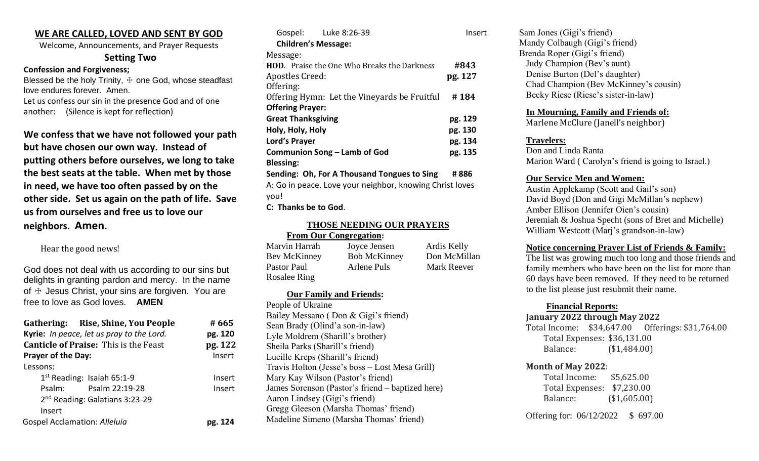# **WE ARE CALLED, LOVED AND SENT BY GOD**

Welcome, Announcements, and Prayer Requests

#### **Setting Two**

**Confession and Forgiveness;**

Blessed be the holy Trinity,  $\pm$  one God, whose steadfast love endures forever. Amen. Let us confess our sin in the presence God and of one another: (Silence is kept for reflection)

**We confess that we have not followed your path but have chosen our own way. Instead of putting others before ourselves, we long to take the best seats at the table. When met by those in need, we have too often passed by on the other side. Set us again on the path of life. Save us from ourselves and free us to love our neighbors. Amen.**

Hear the good news!

God does not deal with us according to our sins but delights in granting pardon and mercy. In the name of  $\pm$  Jesus Christ, your sins are forgiven. You are free to love as God loves. **AMEN**

| Gathering: Rise, Shine, You People<br>Kyrie: In peace, let us pray to the Lord.<br><b>Canticle of Praise: This is the Feast</b> | # 665<br>pg. 120<br>pg. 122 |
|---------------------------------------------------------------------------------------------------------------------------------|-----------------------------|
| Prayer of the Day:                                                                                                              | Insert                      |
| Lessons:                                                                                                                        |                             |
| $1st$ Reading: Isaiah 65:1-9                                                                                                    | Insert                      |
| Psalm: Psalm 22:19-28                                                                                                           | Insert                      |
| 2 <sup>nd</sup> Reading: Galatians 3:23-29                                                                                      |                             |
| Insert                                                                                                                          |                             |
| Gospel Acclamation: Alleluia                                                                                                    | pg. 124                     |

| Insert                                               |
|------------------------------------------------------|
|                                                      |
|                                                      |
| #843                                                 |
| pg. 127                                              |
|                                                      |
| Offering Hymn: Let the Vineyards be Fruitful<br>#184 |
|                                                      |
| pg. 129                                              |
| pg. 130                                              |
| pg. 134                                              |
| pg. 135                                              |
|                                                      |
| # 886                                                |
|                                                      |

A: Go in peace. Love your neighbor, knowing Christ loves you!

**C: Thanks be to God**.

# **THOSE NEEDING OUR PRAYERS**

 **From Our Congregation:** Marvin Harrah Joyce Jensen Ardis Kelly Bev McKinney Bob McKinney Don McMillan Pastor Paul **Arlene Puls** Mark Reever Rosalee Ring

#### **Our Family and Friends:**

People of Ukraine Bailey Messano ( Don & Gigi's friend) Sean Brady (Olind'a son-in-law) Lyle Moldrem (Sharill's brother) Sheila Parks (Sharill's friend) Lucille Kreps (Sharill's friend) Travis Holton (Jesse's boss – Lost Mesa Grill) Mary Kay Wilson (Pastor's friend) James Sorenson (Pastor's friend – baptized here) Aaron Lindsey (Gigi's friend) Gregg Gleeson (Marsha Thomas' friend) Madeline Simeno (Marsha Thomas' friend)

Sam Jones (Gigi's friend) Mandy Colbaugh (Gigi's friend) Brenda Roper (Gigi's friend) Judy Champion (Bev's aunt) Denise Burton (Del's daughter) Chad Champion (Bev McKinney's cousin) Becky Riese (Riese's sister-in-law)

#### **In Mourning, Family and Friends of:**

Marlene McClure (Janell's neighbor)

# **Travelers:**

Don and Linda Ranta Marion Ward ( Carolyn's friend is going to Israel.)

# **Our Service Men and Women:**

Austin Applekamp (Scott and Gail's son) David Boyd (Don and Gigi McMillan's nephew) Amber Ellison (Jennifer Oien's cousin) Jeremiah & Joshua Specht (sons of Bret and Michelle) William Westcott (Marj's grandson-in-law)

# **Notice concerning Prayer List of Friends & Family:**

The list was growing much too long and those friends and family members who have been on the list for more than 60 days have been removed. If they need to be returned to the list please just resubmit their name.

# **Financial Reports:**

#### **January 2022 through May 2022**

Total Income: \$34,647.00 Offerings: \$31,764.00 Total Expenses: \$36,131.00 Balance: (\$1,484.00)

#### **Month of May 2022**:

 Total Income: \$5,625.00 Total Expenses: \$7,230.00 Balance: (\$1,605.00)

Offering for: 06/12/2022 \$ 697.00